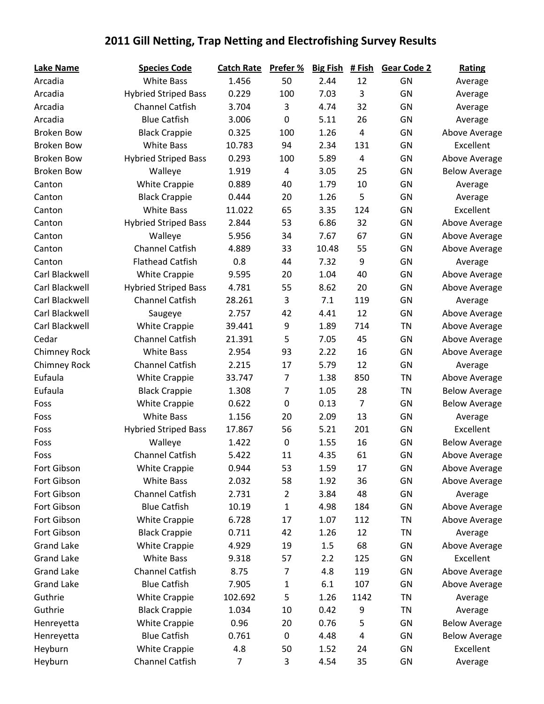## **2011 Gill Netting, Trap Netting and Electrofishing Survey Results**

| Lake Name           | <b>Species Code</b>         | <b>Catch Rate</b> | Prefer %       | <b>Big Fish</b> | # Fish                  | <b>Gear Code 2</b> | <b>Rating</b>        |
|---------------------|-----------------------------|-------------------|----------------|-----------------|-------------------------|--------------------|----------------------|
| Arcadia             | <b>White Bass</b>           | 1.456             | 50             | 2.44            | 12                      | GN                 | Average              |
| Arcadia             | <b>Hybried Striped Bass</b> | 0.229             | 100            | 7.03            | 3                       | GN                 | Average              |
| Arcadia             | <b>Channel Catfish</b>      | 3.704             | 3              | 4.74            | 32                      | GN                 | Average              |
| Arcadia             | <b>Blue Catfish</b>         | 3.006             | 0              | 5.11            | 26                      | GN                 | Average              |
| <b>Broken Bow</b>   | <b>Black Crappie</b>        | 0.325             | 100            | 1.26            | 4                       | GN                 | Above Average        |
| <b>Broken Bow</b>   | <b>White Bass</b>           | 10.783            | 94             | 2.34            | 131                     | GN                 | Excellent            |
| <b>Broken Bow</b>   | <b>Hybried Striped Bass</b> | 0.293             | 100            | 5.89            | 4                       | GN                 | Above Average        |
| <b>Broken Bow</b>   | Walleye                     | 1.919             | 4              | 3.05            | 25                      | GN                 | <b>Below Average</b> |
| Canton              | <b>White Crappie</b>        | 0.889             | 40             | 1.79            | 10                      | GN                 | Average              |
| Canton              | <b>Black Crappie</b>        | 0.444             | 20             | 1.26            | 5                       | GN                 | Average              |
| Canton              | <b>White Bass</b>           | 11.022            | 65             | 3.35            | 124                     | GN                 | Excellent            |
| Canton              | <b>Hybried Striped Bass</b> | 2.844             | 53             | 6.86            | 32                      | GN                 | Above Average        |
| Canton              | Walleye                     | 5.956             | 34             | 7.67            | 67                      | GN                 | Above Average        |
| Canton              | <b>Channel Catfish</b>      | 4.889             | 33             | 10.48           | 55                      | GN                 | Above Average        |
| Canton              | <b>Flathead Catfish</b>     | 0.8               | 44             | 7.32            | 9                       | GN                 | Average              |
| Carl Blackwell      | <b>White Crappie</b>        | 9.595             | 20             | 1.04            | 40                      | GN                 | Above Average        |
| Carl Blackwell      | <b>Hybried Striped Bass</b> | 4.781             | 55             | 8.62            | 20                      | GN                 | Above Average        |
| Carl Blackwell      | <b>Channel Catfish</b>      | 28.261            | 3              | 7.1             | 119                     | GN                 | Average              |
| Carl Blackwell      | Saugeye                     | 2.757             | 42             | 4.41            | 12                      | GN                 | Above Average        |
| Carl Blackwell      | <b>White Crappie</b>        | 39.441            | 9              | 1.89            | 714                     | <b>TN</b>          | Above Average        |
| Cedar               | <b>Channel Catfish</b>      | 21.391            | 5              | 7.05            | 45                      | GN                 | Above Average        |
| <b>Chimney Rock</b> | <b>White Bass</b>           | 2.954             | 93             | 2.22            | 16                      | GN                 | Above Average        |
| <b>Chimney Rock</b> | <b>Channel Catfish</b>      | 2.215             | 17             | 5.79            | 12                      | GN                 | Average              |
| Eufaula             | <b>White Crappie</b>        | 33.747            | $\overline{7}$ | 1.38            | 850                     | <b>TN</b>          | Above Average        |
| Eufaula             | <b>Black Crappie</b>        | 1.308             | $\overline{7}$ | 1.05            | 28                      | <b>TN</b>          | <b>Below Average</b> |
| Foss                | <b>White Crappie</b>        | 0.622             | 0              | 0.13            | 7                       | GN                 | <b>Below Average</b> |
| Foss                | <b>White Bass</b>           | 1.156             | 20             | 2.09            | 13                      | GN                 | Average              |
| Foss                | <b>Hybried Striped Bass</b> | 17.867            | 56             | 5.21            | 201                     | GN                 | Excellent            |
| Foss                | Walleye                     | 1.422             | 0              | 1.55            | 16                      | GN                 | <b>Below Average</b> |
| Foss                | Channel Catfish             | 5.422             | 11             | 4.35            | 61                      | GN                 | Above Average        |
| Fort Gibson         | <b>White Crappie</b>        | 0.944             | 53             | 1.59            | 17                      | GN                 | Above Average        |
| Fort Gibson         | <b>White Bass</b>           | 2.032             | 58             | 1.92            | 36                      | GN                 | Above Average        |
| Fort Gibson         | <b>Channel Catfish</b>      | 2.731             | $\overline{2}$ | 3.84            | 48                      | GN                 | Average              |
| Fort Gibson         | <b>Blue Catfish</b>         | 10.19             | $\mathbf 1$    | 4.98            | 184                     | GN                 | Above Average        |
| Fort Gibson         | <b>White Crappie</b>        | 6.728             | 17             | 1.07            | 112                     | TN                 | Above Average        |
| Fort Gibson         | <b>Black Crappie</b>        | 0.711             | 42             | 1.26            | 12                      | <b>TN</b>          | Average              |
| <b>Grand Lake</b>   | <b>White Crappie</b>        | 4.929             | 19             | 1.5             | 68                      | GN                 | Above Average        |
| <b>Grand Lake</b>   | <b>White Bass</b>           | 9.318             | 57             | 2.2             | 125                     | GN                 | Excellent            |
| <b>Grand Lake</b>   | <b>Channel Catfish</b>      | 8.75              | $\overline{7}$ | 4.8             | 119                     | GN                 | Above Average        |
| <b>Grand Lake</b>   | <b>Blue Catfish</b>         | 7.905             | $\mathbf{1}$   | 6.1             | 107                     | GN                 | Above Average        |
| Guthrie             | <b>White Crappie</b>        | 102.692           | 5              | 1.26            | 1142                    | <b>TN</b>          | Average              |
| Guthrie             | <b>Black Crappie</b>        | 1.034             | 10             | 0.42            | 9                       | <b>TN</b>          | Average              |
| Henreyetta          | <b>White Crappie</b>        | 0.96              | 20             | 0.76            | 5                       | GN                 | <b>Below Average</b> |
| Henreyetta          | <b>Blue Catfish</b>         | 0.761             | $\pmb{0}$      | 4.48            | $\overline{\mathbf{r}}$ | GN                 | <b>Below Average</b> |
| Heyburn             | <b>White Crappie</b>        | 4.8               | 50             | 1.52            | 24                      | GN                 | Excellent            |
| Heyburn             | <b>Channel Catfish</b>      | $\overline{7}$    | 3              | 4.54            | 35                      | GN                 | Average              |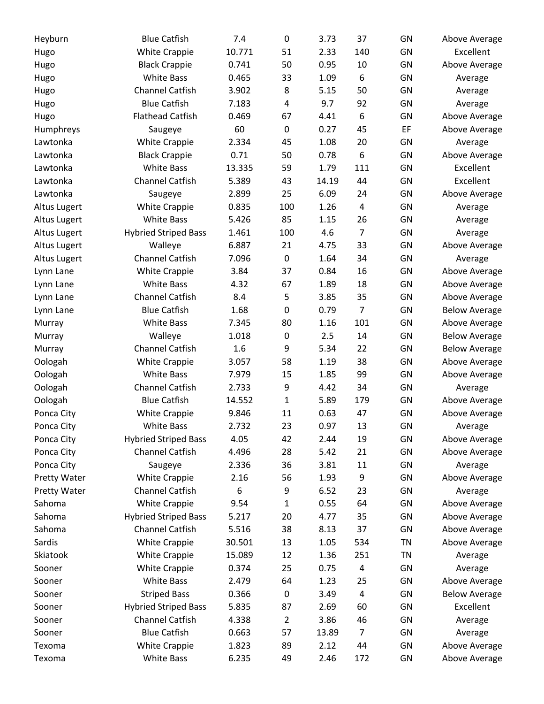| Heyburn             | <b>Blue Catfish</b>         | 7.4    | 0                | 3.73  | 37                      | GN        | Above Average        |
|---------------------|-----------------------------|--------|------------------|-------|-------------------------|-----------|----------------------|
| Hugo                | <b>White Crappie</b>        | 10.771 | 51               | 2.33  | 140                     | GN        | Excellent            |
| Hugo                | <b>Black Crappie</b>        | 0.741  | 50               | 0.95  | 10                      | GN        | Above Average        |
| Hugo                | <b>White Bass</b>           | 0.465  | 33               | 1.09  | 6                       | GN        | Average              |
| Hugo                | <b>Channel Catfish</b>      | 3.902  | 8                | 5.15  | 50                      | GN        | Average              |
| Hugo                | <b>Blue Catfish</b>         | 7.183  | 4                | 9.7   | 92                      | GN        | Average              |
| Hugo                | <b>Flathead Catfish</b>     | 0.469  | 67               | 4.41  | 6                       | GN        | Above Average        |
| Humphreys           | Saugeye                     | 60     | $\boldsymbol{0}$ | 0.27  | 45                      | EF        | Above Average        |
| Lawtonka            | <b>White Crappie</b>        | 2.334  | 45               | 1.08  | 20                      | GN        | Average              |
| Lawtonka            | <b>Black Crappie</b>        | 0.71   | 50               | 0.78  | 6                       | GN        | Above Average        |
| Lawtonka            | <b>White Bass</b>           | 13.335 | 59               | 1.79  | 111                     | GN        | Excellent            |
| Lawtonka            | <b>Channel Catfish</b>      | 5.389  | 43               | 14.19 | 44                      | GN        | Excellent            |
| Lawtonka            | Saugeye                     | 2.899  | 25               | 6.09  | 24                      | GN        | Above Average        |
| <b>Altus Lugert</b> | White Crappie               | 0.835  | 100              | 1.26  | $\overline{\mathbf{4}}$ | GN        | Average              |
| <b>Altus Lugert</b> | <b>White Bass</b>           | 5.426  | 85               | 1.15  | 26                      | GN        | Average              |
| Altus Lugert        | <b>Hybried Striped Bass</b> | 1.461  | 100              | 4.6   | $\overline{7}$          | GN        | Average              |
| <b>Altus Lugert</b> | Walleye                     | 6.887  | 21               | 4.75  | 33                      | GN        | Above Average        |
| <b>Altus Lugert</b> | <b>Channel Catfish</b>      | 7.096  | $\boldsymbol{0}$ | 1.64  | 34                      | GN        | Average              |
| Lynn Lane           | <b>White Crappie</b>        | 3.84   | 37               | 0.84  | 16                      | GN        | Above Average        |
| Lynn Lane           | <b>White Bass</b>           | 4.32   | 67               | 1.89  | 18                      | GN        | Above Average        |
| Lynn Lane           | <b>Channel Catfish</b>      | 8.4    | 5                | 3.85  | 35                      | GN        | Above Average        |
| Lynn Lane           | <b>Blue Catfish</b>         | 1.68   | 0                | 0.79  | 7                       | GN        | <b>Below Average</b> |
| Murray              | <b>White Bass</b>           | 7.345  | 80               | 1.16  | 101                     | GN        | Above Average        |
| Murray              | Walleye                     | 1.018  | $\boldsymbol{0}$ | 2.5   | 14                      | GN        | <b>Below Average</b> |
| Murray              | <b>Channel Catfish</b>      | 1.6    | 9                | 5.34  | 22                      | GN        | <b>Below Average</b> |
| Oologah             | <b>White Crappie</b>        | 3.057  | 58               | 1.19  | 38                      | GN        | Above Average        |
| Oologah             | <b>White Bass</b>           | 7.979  | 15               | 1.85  | 99                      | GN        | Above Average        |
| Oologah             | <b>Channel Catfish</b>      | 2.733  | 9                | 4.42  | 34                      | GN        | Average              |
| Oologah             | <b>Blue Catfish</b>         | 14.552 | 1                | 5.89  | 179                     | GN        | Above Average        |
| Ponca City          | <b>White Crappie</b>        | 9.846  | 11               | 0.63  | 47                      | GN        | Above Average        |
| Ponca City          | <b>White Bass</b>           | 2.732  | 23               | 0.97  | 13                      | GN        | Average              |
| Ponca City          | <b>Hybried Striped Bass</b> | 4.05   | 42               | 2.44  | 19                      | GN        | Above Average        |
| Ponca City          | <b>Channel Catfish</b>      | 4.496  | 28               | 5.42  | 21                      | GN        | Above Average        |
| Ponca City          | Saugeye                     | 2.336  | 36               | 3.81  | 11                      | GN        | Average              |
| <b>Pretty Water</b> | <b>White Crappie</b>        | 2.16   | 56               | 1.93  | 9                       | GN        | Above Average        |
| Pretty Water        | <b>Channel Catfish</b>      | 6      | 9                | 6.52  | 23                      | GN        | Average              |
| Sahoma              | <b>White Crappie</b>        | 9.54   | 1                | 0.55  | 64                      | GN        | Above Average        |
| Sahoma              | <b>Hybried Striped Bass</b> | 5.217  | 20               | 4.77  | 35                      | GN        | Above Average        |
| Sahoma              | <b>Channel Catfish</b>      | 5.516  | 38               | 8.13  | 37                      | GN        | Above Average        |
| Sardis              | <b>White Crappie</b>        | 30.501 | 13               | 1.05  | 534                     | <b>TN</b> | Above Average        |
| Skiatook            | <b>White Crappie</b>        | 15.089 | 12               | 1.36  | 251                     | <b>TN</b> | Average              |
| Sooner              | <b>White Crappie</b>        | 0.374  | 25               | 0.75  | $\overline{\mathbf{4}}$ | GN        | Average              |
| Sooner              | <b>White Bass</b>           | 2.479  | 64               | 1.23  | 25                      | GN        | Above Average        |
| Sooner              | <b>Striped Bass</b>         | 0.366  | $\boldsymbol{0}$ | 3.49  | 4                       | GN        | <b>Below Average</b> |
| Sooner              | <b>Hybried Striped Bass</b> | 5.835  | 87               | 2.69  | 60                      | GN        | Excellent            |
| Sooner              | <b>Channel Catfish</b>      | 4.338  | $\overline{2}$   | 3.86  | 46                      | GN        | Average              |
| Sooner              | <b>Blue Catfish</b>         | 0.663  | 57               | 13.89 | 7                       | GN        | Average              |
| Texoma              | White Crappie               | 1.823  | 89               | 2.12  | 44                      | GN        | Above Average        |
| Texoma              | <b>White Bass</b>           | 6.235  | 49               | 2.46  | 172                     | GN        | Above Average        |